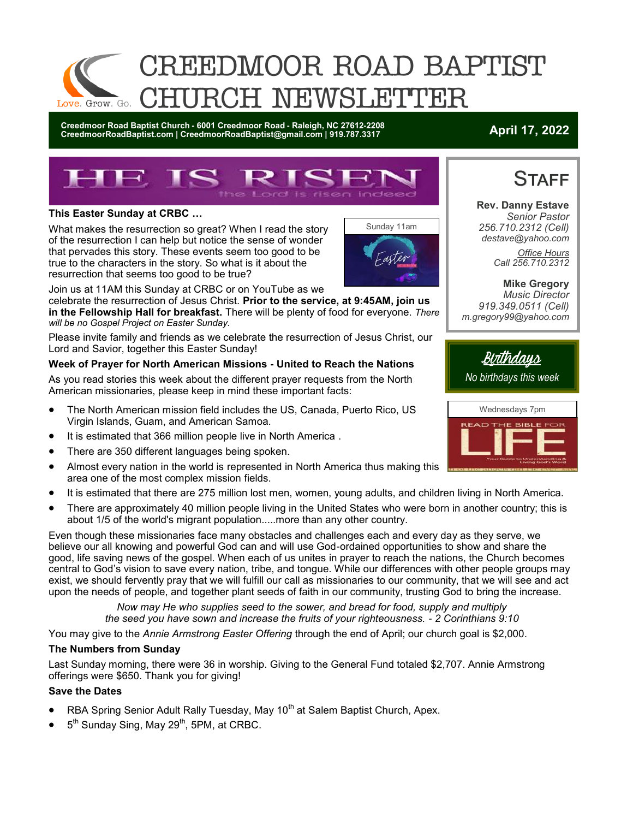

# CREEDMOOR ROAD BAPTIST RCH NEWSLETTER

**Creedmoor Road Baptist Church - 6001 Creedmoor Road - Raleigh, NC 27612-2208 CreedmoorRoadBaptist.com | CreedmoorRoadBaptist@gmail.com | 919.787.3317 April 17, 2022**

### **This Easter Sunday at CRBC …**

What makes the resurrection so great? When I read the story of the resurrection I can help but notice the sense of wonder that pervades this story. These events seem too good to be true to the characters in the story. So what is it about the resurrection that seems too good to be true?



Join us at 11AM this Sunday at CRBC or on YouTube as we

celebrate the resurrection of Jesus Christ. **Prior to the service, at 9:45AM, join us in the Fellowship Hall for breakfast.** There will be plenty of food for everyone. *There will be no Gospel Project on Easter Sunday.*

Please invite family and friends as we celebrate the resurrection of Jesus Christ, our Lord and Savior, together this Easter Sunday!

### **Week of Prayer for North American Missions - United to Reach the Nations**

As you read stories this week about the different prayer requests from the North American missionaries, please keep in mind these important facts:

- The North American mission field includes the US, Canada, Puerto Rico, US Virgin Islands, Guam, and American Samoa.
- It is estimated that 366 million people live in North America .
- There are 350 different languages being spoken.
- Almost every nation in the world is represented in North America thus making this area one of the most complex mission fields.
- It is estimated that there are 275 million lost men, women, young adults, and children living in North America.
- There are approximately 40 million people living in the United States who were born in another country; this is about 1/5 of the world's migrant population.....more than any other country.

Even though these missionaries face many obstacles and challenges each and every day as they serve, we believe our all knowing and powerful God can and will use God-ordained opportunities to show and share the good, life saving news of the gospel. When each of us unites in prayer to reach the nations, the Church becomes central to God's vision to save every nation, tribe, and tongue. While our differences with other people groups may exist, we should fervently pray that we will fulfill our call as missionaries to our community, that we will see and act upon the needs of people, and together plant seeds of faith in our community, trusting God to bring the increase.

> *Now may He who supplies seed to the sower, and bread for food, supply and multiply the seed you have sown and increase the fruits of your righteousness. - 2 Corinthians 9:10*

You may give to the *Annie Armstrong Easter Offering* through the end of April; our church goal is \$2,000.

### **The Numbers from Sunday**

Last Sunday morning, there were 36 in worship. Giving to the General Fund totaled \$2,707. Annie Armstrong offerings were \$650. Thank you for giving!

### **Save the Dates**

- RBA Spring Senior Adult Rally Tuesday, May 10<sup>th</sup> at Salem Baptist Church, Apex.
- $\bullet$  5<sup>th</sup> Sunday Sing, May 29<sup>th</sup>, 5PM, at CRBC.



**Rev. Danny Estave** *Senior Pastor 256.710.2312 (Cell) destave@yahoo.com Office Hours Call 256.710.2312* 

**Mike Gregory** *Music Director 919.349.0511 (Cell) m.gregory99@yahoo.com*